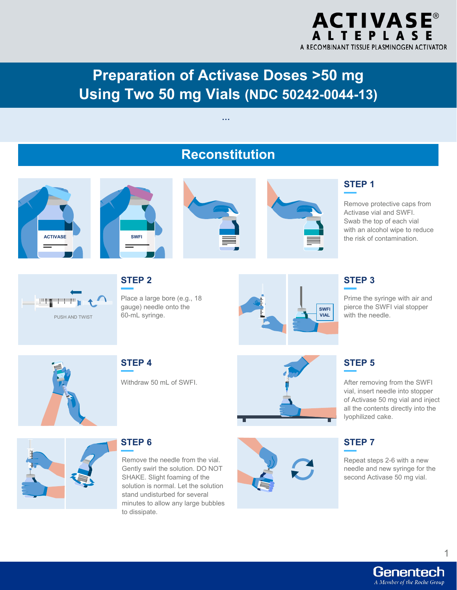

# **Preparation of Activase Doses >50 mg Using Two 50 mg Vials (NDC 50242-0044-13)**



**…**



Genentech A Member of the Roche Group

1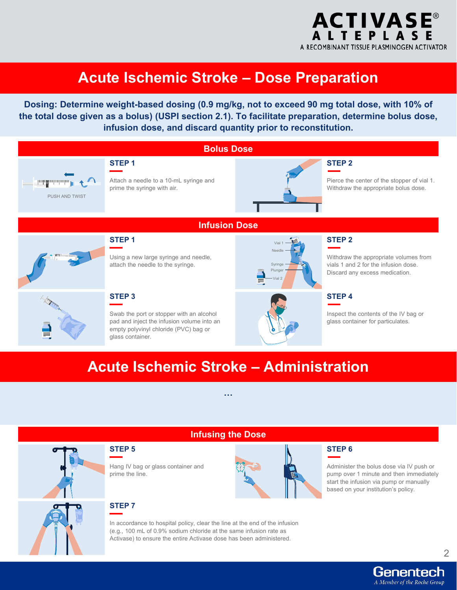

# **Acute Ischemic Stroke – Dose Preparation**

**Dosing: Determine weight-based dosing (0.9 mg/kg, not to exceed 90 mg total dose, with 10% of the total dose given as a bolus) (USPI section 2.1). To facilitate preparation, determine bolus dose, infusion dose, and discard quantity prior to reconstitution.** 



# **Acute Ischemic Stroke – Administration**

**…**

**Infusing the Dose**



#### **STEP 5**

Hang IV bag or glass container and prime the line.

#### **STEP 7**

In accordance to hospital policy, clear the line at the end of the infusion (e.g., 100 mL of 0.9% sodium chloride at the same infusion rate as Activase) to ensure the entire Activase dose has been administered.

#### **STEP 6**

Administer the bolus dose via IV push or pump over 1 minute and then immediately start the infusion via pump or manually based on your institution's policy.

2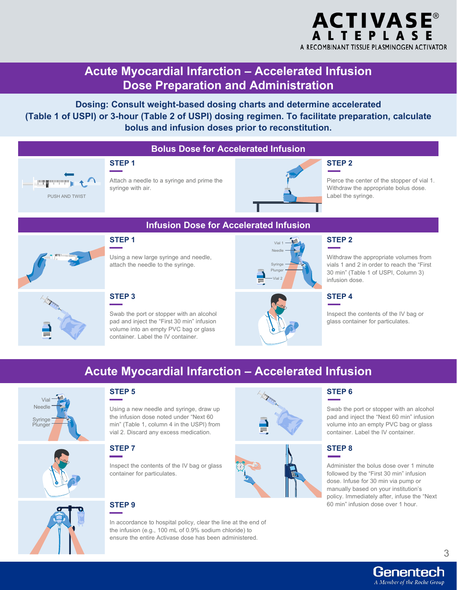

# **Acute Myocardial Infarction – Accelerated Infusion Dose Preparation and Administration**

**Dosing: Consult weight-based dosing charts and determine accelerated (Table 1 of USPI) or 3-hour (Table 2 of USPI) dosing regimen. To facilitate preparation, calculate bolus and infusion doses prior to reconstitution.** 

#### **Bolus Dose for Accelerated Infusion**



# **STEP 1**

Attach a needle to a syringe and prime the syringe with air.



#### **STEP 2**

Pierce the center of the stopper of vial 1. Withdraw the appropriate bolus dose. Label the syringe.



## **Infusion Dose for Accelerated Infusion**



#### **STEP 2**

Withdraw the appropriate volumes from vials 1 and 2 in order to reach the "First 30 min" (Table 1 of USPI, Column 3) infusion dose.

# **STEP 3**

**STEP 5**

**STEP 1**

Swab the port or stopper with an alcohol pad and inject the "First 30 min" infusion volume into an empty PVC bag or glass container. Label the IV container.

Using a new large syringe and needle, attach the needle to the syringe.



# **STEP 4**

Inspect the contents of the IV bag or glass container for particulates.

# **Acute Myocardial Infarction – Accelerated Infusion**



# **STEP 7**

Inspect the contents of the IV bag or glass container for particulates.

Using a new needle and syringe, draw up the infusion dose noted under "Next 60 min" (Table 1, column 4 in the USPI) from vial 2. Discard any excess medication.

### **STEP 9**

In accordance to hospital policy, clear the line at the end of the infusion (e.g., 100 mL of 0.9% sodium chloride) to ensure the entire Activase dose has been administered.





### **STEP 6**

Swab the port or stopper with an alcohol pad and inject the "Next 60 min" infusion volume into an empty PVC bag or glass container. Label the IV container.

#### **STEP 8**

Administer the bolus dose over 1 minute followed by the "First 30 min" infusion dose. Infuse for 30 min via pump or manually based on your institution's policy. Immediately after, infuse the "Next 60 min" infusion dose over 1 hour.



### Genentech A Member of the Roche Group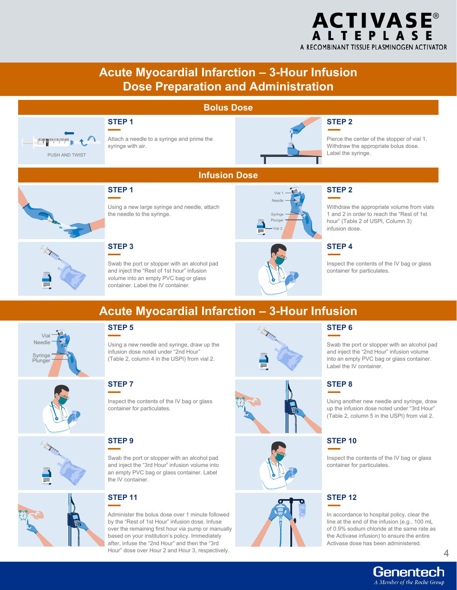## **ACTIVASE® ALTEPLASE** A RECOMBINANT TISSUE PLASMINOGEN ACTIVATOR

# **Acute Myocardial Infarction – 3-Hour Infusion Dose Preparation and Administration**

#### **Bolus Dose**



#### **STEP 1**

Attach a needle to a syringe and prime the syringe with air.



#### **STEP 2**

Pierce the center of the stopper of vial 1. Withdraw the appropriate bolus dose. Label the syringe.



## **Infusion Dose**



#### **STEP 2**

Withdraw the appropriate volume from vials 1 and 2 in order to reach the "Rest of 1st hour" (Table 2 of USPI, Column 3) infusion dose.

### **STEP 4**

Inspect the contents of the IV bag or glass container for particulates.

**STEP 3**

Swab the port or stopper with an alcohol pad and inject the "Rest of 1st hour" infusion volume into an empty PVC bag or glass container. Label the IV container.



# **Acute Myocardial Infarction – 3-Hour Infusion**



## **STEP 5**

Using a new needle and syringe, draw up the infusion dose noted under "2nd Hour" (Table 2, column 4 in the USPI) from vial 2.

Inspect the contents of the IV bag or glass

container for particulates.



#### **STEP 6**

Swab the port or stopper with an alcohol pad and inject the "2nd Hour" infusion volume into an empty PVC bag or glass container. Label the IV container.

### **STEP 8**

Using another new needle and syringe, draw up the infusion dose noted under "3rd Hour" (Table 2, column 5 in the USPI) from vial 2.

#### **STEP 10**

Inspect the contents of the IV bag or glass container for particulates.

### **STEP 12**

In accordance to hospital policy, clear the line at the end of the infusion (e.g., 100 mL of 0.9% sodium chloride at the same rate as the Activase infusion) to ensure the entire Activase dose has been administered.

## **STEP 9**

**STEP 7**

Swab the port or stopper with an alcohol pad and inject the "3rd Hour" infusion volume into an empty PVC bag or glass container. Label the IV container.





Administer the bolus dose over 1 minute followed by the "Rest of 1st Hour" infusion dose. Infuse over the remaining first hour via pump or manually based on your institution's policy. Immediately after, infuse the "2nd Hour" and then the "3rd Hour" dose over Hour 2 and Hour 3, respectively.



4